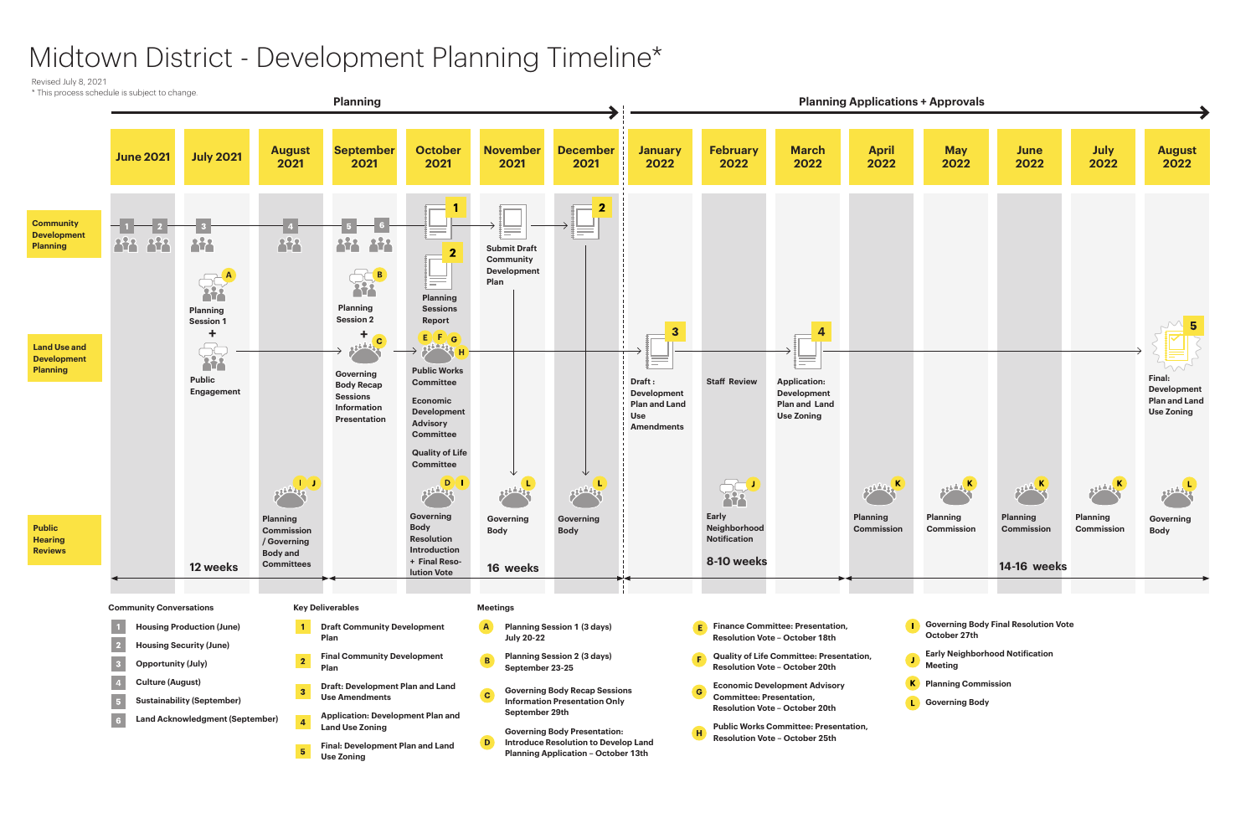## Midtown District - Development Planning Timeline\*



- 
- 
- 

Revised July 8, 2021

\* This process schedule is subject to change.